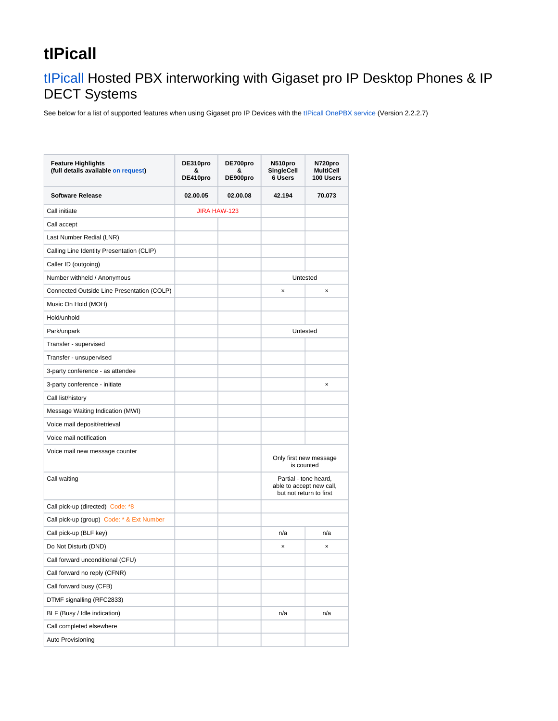## **tIPicall**

## [tIPicall](http://www.tipicall.co.uk) Hosted PBX interworking with Gigaset pro IP Desktop Phones & IP DECT Systems

See below for a list of supported features when using Gigaset pro IP Devices with the [tIPicall OnePBX service](http://www.tipicall.co.uk/products/onepbx) (Version 2.2.2.7)

| <b>Feature Highlights</b><br>(full details available on request) | DE310pro<br>&<br>DE410pro | DE700pro<br>&<br>DE900pro | N510pro<br><b>SingleCell</b><br>6 Users                                      | N720pro<br>MultiCell<br>100 Users |
|------------------------------------------------------------------|---------------------------|---------------------------|------------------------------------------------------------------------------|-----------------------------------|
| <b>Software Release</b>                                          | 02.00.05                  | 02.00.08                  | 42.194                                                                       | 70.073                            |
| Call initiate                                                    | <b>JIRA HAW-123</b>       |                           |                                                                              |                                   |
| Call accept                                                      |                           |                           |                                                                              |                                   |
| Last Number Redial (LNR)                                         |                           |                           |                                                                              |                                   |
| Calling Line Identity Presentation (CLIP)                        |                           |                           |                                                                              |                                   |
| Caller ID (outgoing)                                             |                           |                           |                                                                              |                                   |
| Number withheld / Anonymous                                      |                           |                           | Untested                                                                     |                                   |
| Connected Outside Line Presentation (COLP)                       |                           |                           | ×                                                                            | ×                                 |
| Music On Hold (MOH)                                              |                           |                           |                                                                              |                                   |
| Hold/unhold                                                      |                           |                           |                                                                              |                                   |
| Park/unpark                                                      |                           |                           | Untested                                                                     |                                   |
| Transfer - supervised                                            |                           |                           |                                                                              |                                   |
| Transfer - unsupervised                                          |                           |                           |                                                                              |                                   |
| 3-party conference - as attendee                                 |                           |                           |                                                                              |                                   |
| 3-party conference - initiate                                    |                           |                           |                                                                              | ×                                 |
| Call list/history                                                |                           |                           |                                                                              |                                   |
| Message Waiting Indication (MWI)                                 |                           |                           |                                                                              |                                   |
| Voice mail deposit/retrieval                                     |                           |                           |                                                                              |                                   |
| Voice mail notification                                          |                           |                           |                                                                              |                                   |
| Voice mail new message counter                                   |                           |                           | Only first new message<br>is counted                                         |                                   |
| Call waiting                                                     |                           |                           | Partial - tone heard,<br>able to accept new call,<br>but not return to first |                                   |
| Call pick-up (directed) Code: *8                                 |                           |                           |                                                                              |                                   |
| Call pick-up (group) Code: * & Ext Number                        |                           |                           |                                                                              |                                   |
| Call pick-up (BLF key)                                           |                           |                           | n/a                                                                          | n/a                               |
| Do Not Disturb (DND)                                             |                           |                           | ×                                                                            | ×                                 |
| Call forward unconditional (CFU)                                 |                           |                           |                                                                              |                                   |
| Call forward no reply (CFNR)                                     |                           |                           |                                                                              |                                   |
| Call forward busy (CFB)                                          |                           |                           |                                                                              |                                   |
| DTMF signalling (RFC2833)                                        |                           |                           |                                                                              |                                   |
| BLF (Busy / Idle indication)                                     |                           |                           | n/a                                                                          | n/a                               |
| Call completed elsewhere                                         |                           |                           |                                                                              |                                   |
| Auto Provisioning                                                |                           |                           |                                                                              |                                   |